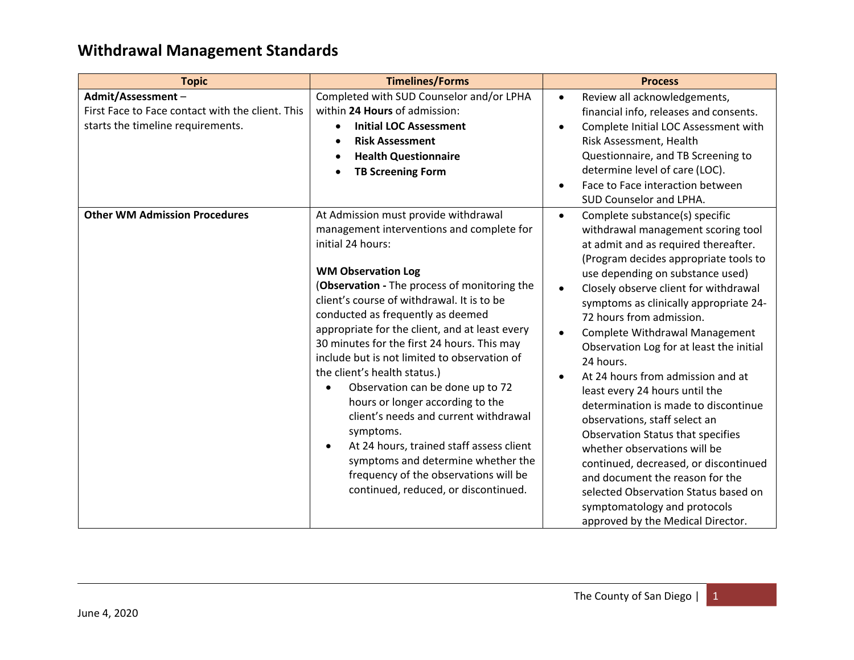| <b>Topic</b>                                                                                               | <b>Timelines/Forms</b>                                                                                                                                                                                                                                                                                                                                                                                                                                                                                                                                                                                                                                                                                                                                   | <b>Process</b>                                                                                                                                                                                                                                                                                                                                                                                                                                                                                                                                                                                                                                                                                                                                                                                                                                           |
|------------------------------------------------------------------------------------------------------------|----------------------------------------------------------------------------------------------------------------------------------------------------------------------------------------------------------------------------------------------------------------------------------------------------------------------------------------------------------------------------------------------------------------------------------------------------------------------------------------------------------------------------------------------------------------------------------------------------------------------------------------------------------------------------------------------------------------------------------------------------------|----------------------------------------------------------------------------------------------------------------------------------------------------------------------------------------------------------------------------------------------------------------------------------------------------------------------------------------------------------------------------------------------------------------------------------------------------------------------------------------------------------------------------------------------------------------------------------------------------------------------------------------------------------------------------------------------------------------------------------------------------------------------------------------------------------------------------------------------------------|
| Admit/Assessment-<br>First Face to Face contact with the client. This<br>starts the timeline requirements. | Completed with SUD Counselor and/or LPHA<br>within 24 Hours of admission:<br><b>Initial LOC Assessment</b><br><b>Risk Assessment</b><br><b>Health Questionnaire</b><br><b>TB Screening Form</b>                                                                                                                                                                                                                                                                                                                                                                                                                                                                                                                                                          | Review all acknowledgements,<br>$\bullet$<br>financial info, releases and consents.<br>Complete Initial LOC Assessment with<br>Risk Assessment, Health<br>Questionnaire, and TB Screening to<br>determine level of care (LOC).<br>Face to Face interaction between<br>SUD Counselor and LPHA.                                                                                                                                                                                                                                                                                                                                                                                                                                                                                                                                                            |
| <b>Other WM Admission Procedures</b>                                                                       | At Admission must provide withdrawal<br>management interventions and complete for<br>initial 24 hours:<br><b>WM Observation Log</b><br>(Observation - The process of monitoring the<br>client's course of withdrawal. It is to be<br>conducted as frequently as deemed<br>appropriate for the client, and at least every<br>30 minutes for the first 24 hours. This may<br>include but is not limited to observation of<br>the client's health status.)<br>Observation can be done up to 72<br>hours or longer according to the<br>client's needs and current withdrawal<br>symptoms.<br>At 24 hours, trained staff assess client<br>symptoms and determine whether the<br>frequency of the observations will be<br>continued, reduced, or discontinued. | Complete substance(s) specific<br>$\bullet$<br>withdrawal management scoring tool<br>at admit and as required thereafter.<br>(Program decides appropriate tools to<br>use depending on substance used)<br>Closely observe client for withdrawal<br>$\bullet$<br>symptoms as clinically appropriate 24-<br>72 hours from admission.<br>Complete Withdrawal Management<br>$\bullet$<br>Observation Log for at least the initial<br>24 hours.<br>At 24 hours from admission and at<br>least every 24 hours until the<br>determination is made to discontinue<br>observations, staff select an<br>Observation Status that specifies<br>whether observations will be<br>continued, decreased, or discontinued<br>and document the reason for the<br>selected Observation Status based on<br>symptomatology and protocols<br>approved by the Medical Director. |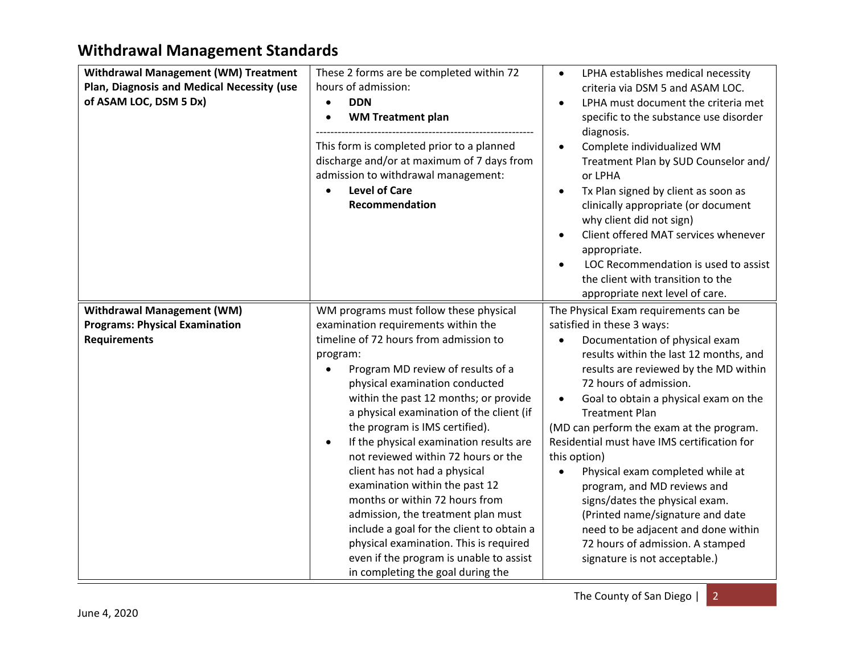| Withdrawal Management (WM) Treatment<br>Plan, Diagnosis and Medical Necessity (use<br>of ASAM LOC, DSM 5 Dx) | These 2 forms are be completed within 72<br>hours of admission:<br><b>DDN</b><br>$\bullet$<br><b>WM Treatment plan</b><br>This form is completed prior to a planned<br>discharge and/or at maximum of 7 days from<br>admission to withdrawal management:<br><b>Level of Care</b><br>Recommendation                                                                                                                                                                                                                                                                                                                                                   | LPHA establishes medical necessity<br>$\bullet$<br>criteria via DSM 5 and ASAM LOC.<br>LPHA must document the criteria met<br>$\bullet$<br>specific to the substance use disorder<br>diagnosis.<br>Complete individualized WM<br>$\bullet$<br>Treatment Plan by SUD Counselor and/<br>or LPHA<br>Tx Plan signed by client as soon as<br>$\bullet$<br>clinically appropriate (or document<br>why client did not sign)<br>Client offered MAT services whenever<br>appropriate.<br>LOC Recommendation is used to assist<br>the client with transition to the<br>appropriate next level of care.            |
|--------------------------------------------------------------------------------------------------------------|------------------------------------------------------------------------------------------------------------------------------------------------------------------------------------------------------------------------------------------------------------------------------------------------------------------------------------------------------------------------------------------------------------------------------------------------------------------------------------------------------------------------------------------------------------------------------------------------------------------------------------------------------|---------------------------------------------------------------------------------------------------------------------------------------------------------------------------------------------------------------------------------------------------------------------------------------------------------------------------------------------------------------------------------------------------------------------------------------------------------------------------------------------------------------------------------------------------------------------------------------------------------|
| <b>Withdrawal Management (WM)</b><br><b>Programs: Physical Examination</b>                                   | WM programs must follow these physical<br>examination requirements within the                                                                                                                                                                                                                                                                                                                                                                                                                                                                                                                                                                        | The Physical Exam requirements can be<br>satisfied in these 3 ways:                                                                                                                                                                                                                                                                                                                                                                                                                                                                                                                                     |
| <b>Requirements</b>                                                                                          | timeline of 72 hours from admission to<br>program:<br>Program MD review of results of a<br>physical examination conducted<br>within the past 12 months; or provide<br>a physical examination of the client (if<br>the program is IMS certified).<br>If the physical examination results are<br>not reviewed within 72 hours or the<br>client has not had a physical<br>examination within the past 12<br>months or within 72 hours from<br>admission, the treatment plan must<br>include a goal for the client to obtain a<br>physical examination. This is required<br>even if the program is unable to assist<br>in completing the goal during the | Documentation of physical exam<br>results within the last 12 months, and<br>results are reviewed by the MD within<br>72 hours of admission.<br>Goal to obtain a physical exam on the<br>$\bullet$<br><b>Treatment Plan</b><br>(MD can perform the exam at the program.<br>Residential must have IMS certification for<br>this option)<br>Physical exam completed while at<br>$\bullet$<br>program, and MD reviews and<br>signs/dates the physical exam.<br>(Printed name/signature and date<br>need to be adjacent and done within<br>72 hours of admission. A stamped<br>signature is not acceptable.) |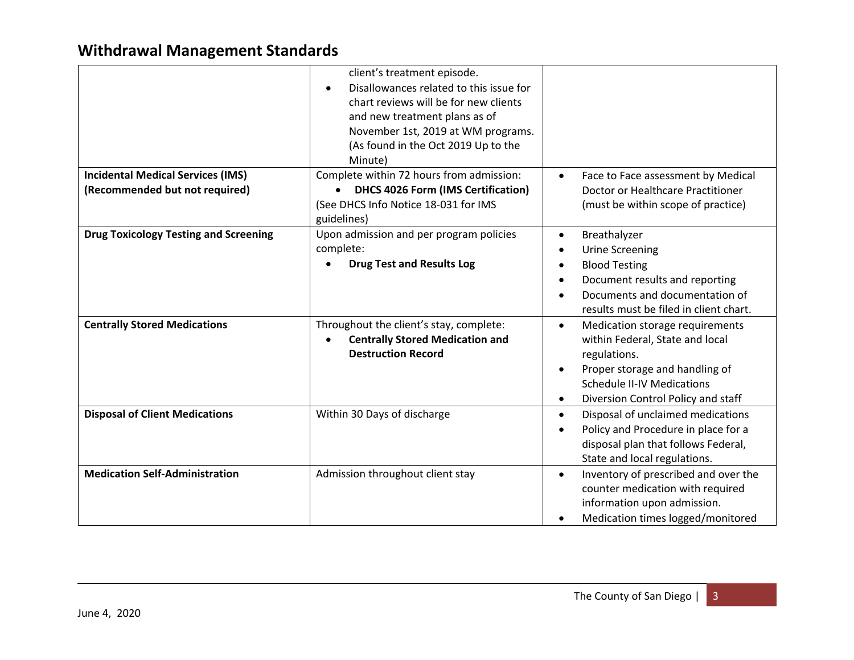|                                              | client's treatment episode.<br>Disallowances related to this issue for<br>chart reviews will be for new clients<br>and new treatment plans as of<br>November 1st, 2019 at WM programs.<br>(As found in the Oct 2019 Up to the<br>Minute) |                                                                                                                                                                                                                                        |
|----------------------------------------------|------------------------------------------------------------------------------------------------------------------------------------------------------------------------------------------------------------------------------------------|----------------------------------------------------------------------------------------------------------------------------------------------------------------------------------------------------------------------------------------|
| <b>Incidental Medical Services (IMS)</b>     | Complete within 72 hours from admission:                                                                                                                                                                                                 | Face to Face assessment by Medical                                                                                                                                                                                                     |
| (Recommended but not required)               | <b>DHCS 4026 Form (IMS Certification)</b><br>(See DHCS Info Notice 18-031 for IMS<br>guidelines)                                                                                                                                         | Doctor or Healthcare Practitioner<br>(must be within scope of practice)                                                                                                                                                                |
| <b>Drug Toxicology Testing and Screening</b> | Upon admission and per program policies<br>complete:<br><b>Drug Test and Results Log</b>                                                                                                                                                 | Breathalyzer<br>$\bullet$<br><b>Urine Screening</b><br>$\bullet$<br><b>Blood Testing</b><br>$\bullet$<br>Document results and reporting<br>$\bullet$<br>Documents and documentation of<br>results must be filed in client chart.       |
| <b>Centrally Stored Medications</b>          | Throughout the client's stay, complete:<br><b>Centrally Stored Medication and</b><br><b>Destruction Record</b>                                                                                                                           | Medication storage requirements<br>$\bullet$<br>within Federal, State and local<br>regulations.<br>Proper storage and handling of<br>$\bullet$<br><b>Schedule II-IV Medications</b><br>Diversion Control Policy and staff<br>$\bullet$ |
| <b>Disposal of Client Medications</b>        | Within 30 Days of discharge                                                                                                                                                                                                              | Disposal of unclaimed medications<br>$\bullet$<br>Policy and Procedure in place for a<br>disposal plan that follows Federal,<br>State and local regulations.                                                                           |
| <b>Medication Self-Administration</b>        | Admission throughout client stay                                                                                                                                                                                                         | Inventory of prescribed and over the<br>$\bullet$<br>counter medication with required<br>information upon admission.<br>Medication times logged/monitored                                                                              |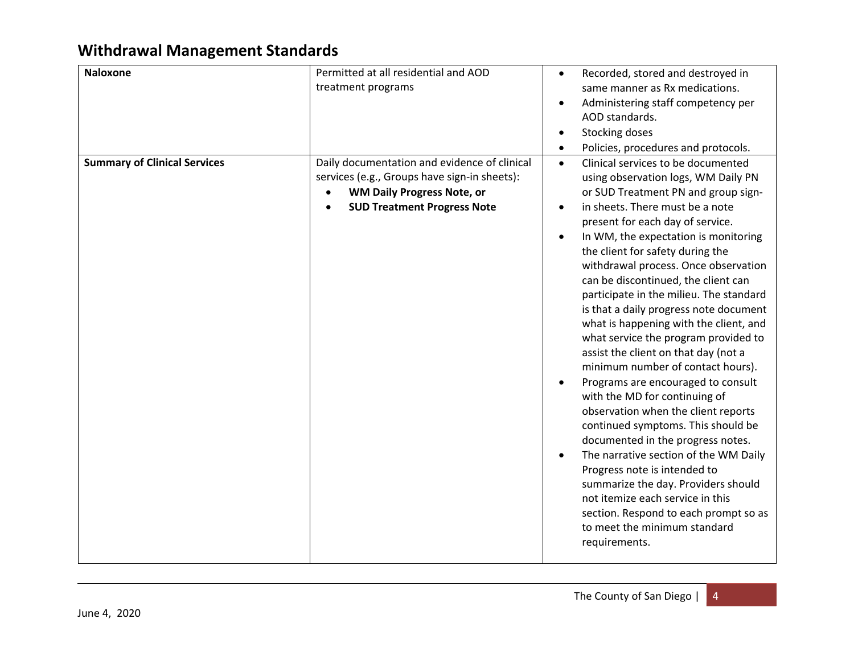| <b>Naloxone</b>                     | Permitted at all residential and AOD<br>treatment programs                                                                                                              | Recorded, stored and destroyed in<br>$\bullet$<br>same manner as Rx medications.<br>Administering staff competency per<br>AOD standards.<br>Stocking doses<br>Policies, procedures and protocols.<br>$\bullet$                                                                                                                                                                                                                                                                                                                                                                                                                                                                                                                                                                                                                                                                                                                                                                                                                                                          |
|-------------------------------------|-------------------------------------------------------------------------------------------------------------------------------------------------------------------------|-------------------------------------------------------------------------------------------------------------------------------------------------------------------------------------------------------------------------------------------------------------------------------------------------------------------------------------------------------------------------------------------------------------------------------------------------------------------------------------------------------------------------------------------------------------------------------------------------------------------------------------------------------------------------------------------------------------------------------------------------------------------------------------------------------------------------------------------------------------------------------------------------------------------------------------------------------------------------------------------------------------------------------------------------------------------------|
| <b>Summary of Clinical Services</b> | Daily documentation and evidence of clinical<br>services (e.g., Groups have sign-in sheets):<br><b>WM Daily Progress Note, or</b><br><b>SUD Treatment Progress Note</b> | Clinical services to be documented<br>$\bullet$<br>using observation logs, WM Daily PN<br>or SUD Treatment PN and group sign-<br>in sheets. There must be a note<br>$\bullet$<br>present for each day of service.<br>In WM, the expectation is monitoring<br>the client for safety during the<br>withdrawal process. Once observation<br>can be discontinued, the client can<br>participate in the milieu. The standard<br>is that a daily progress note document<br>what is happening with the client, and<br>what service the program provided to<br>assist the client on that day (not a<br>minimum number of contact hours).<br>Programs are encouraged to consult<br>with the MD for continuing of<br>observation when the client reports<br>continued symptoms. This should be<br>documented in the progress notes.<br>The narrative section of the WM Daily<br>Progress note is intended to<br>summarize the day. Providers should<br>not itemize each service in this<br>section. Respond to each prompt so as<br>to meet the minimum standard<br>requirements. |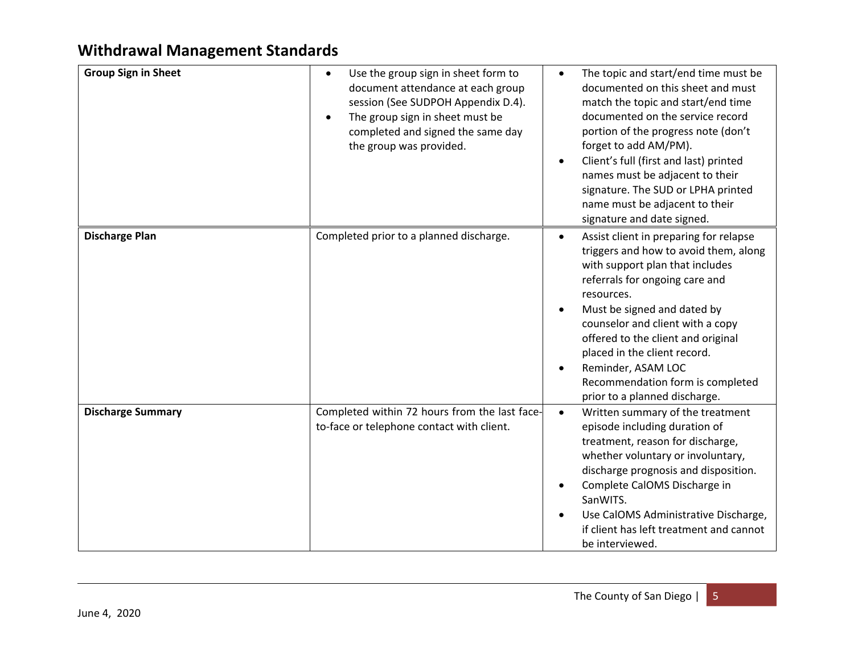| <b>Group Sign in Sheet</b> | Use the group sign in sheet form to<br>$\bullet$<br>document attendance at each group<br>session (See SUDPOH Appendix D.4).<br>The group sign in sheet must be<br>completed and signed the same day<br>the group was provided. | The topic and start/end time must be<br>$\bullet$<br>documented on this sheet and must<br>match the topic and start/end time<br>documented on the service record<br>portion of the progress note (don't<br>forget to add AM/PM).<br>Client's full (first and last) printed<br>names must be adjacent to their<br>signature. The SUD or LPHA printed<br>name must be adjacent to their<br>signature and date signed. |
|----------------------------|--------------------------------------------------------------------------------------------------------------------------------------------------------------------------------------------------------------------------------|---------------------------------------------------------------------------------------------------------------------------------------------------------------------------------------------------------------------------------------------------------------------------------------------------------------------------------------------------------------------------------------------------------------------|
| <b>Discharge Plan</b>      | Completed prior to a planned discharge.                                                                                                                                                                                        | Assist client in preparing for relapse<br>$\bullet$<br>triggers and how to avoid them, along<br>with support plan that includes<br>referrals for ongoing care and<br>resources.<br>Must be signed and dated by<br>counselor and client with a copy<br>offered to the client and original<br>placed in the client record.<br>Reminder, ASAM LOC<br>Recommendation form is completed<br>prior to a planned discharge. |
| <b>Discharge Summary</b>   | Completed within 72 hours from the last face-<br>to-face or telephone contact with client.                                                                                                                                     | Written summary of the treatment<br>$\bullet$<br>episode including duration of<br>treatment, reason for discharge,<br>whether voluntary or involuntary,<br>discharge prognosis and disposition.<br>Complete CalOMS Discharge in<br>SanWITS.<br>Use CalOMS Administrative Discharge,<br>if client has left treatment and cannot<br>be interviewed.                                                                   |